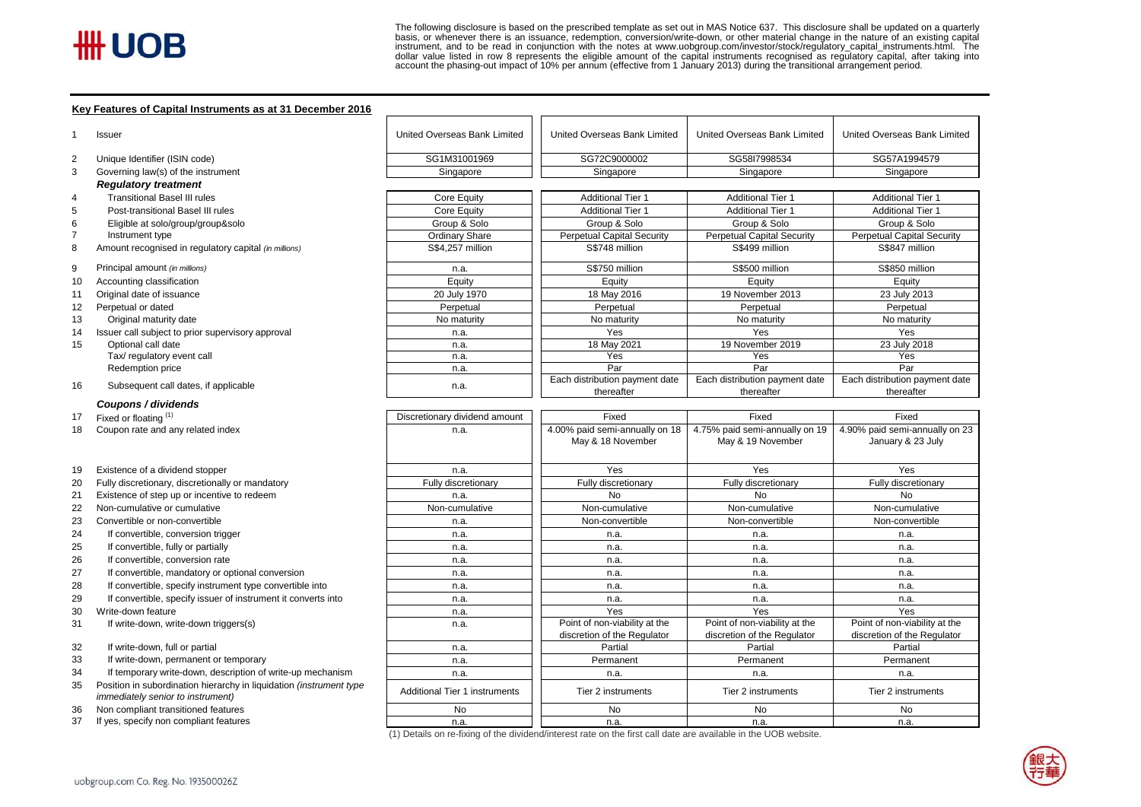$\overline{H}$   $\overline{H}$   $\overline{H}$   $\overline{H}$   $\overline{H}$   $\overline{H}$   $\overline{H}$   $\overline{H}$   $\overline{H}$  and to be read in computation in and to be read in computation in a computation in a computation in a computation in a computation in and to The following disclosure is based on the prescribed template as set out in MAS Notice 637. This disclosure shall be updated on a quarterly<br>basis, or whenever there is an issuance, redemption, conversion/write-down, or othe

#### **Key Features of Capital Instruments as at 31 December 2016**

| SG1M31001969<br>SG72C9000002<br>SG58I7998534<br>SG57A1994579<br>Unique Identifier (ISIN code)<br>Governing law(s) of the instrument<br>Singapore<br>Singapore<br>Singapore<br>Singapore<br><b>Regulatory treatment</b><br><b>Transitional Basel III rules</b><br><b>Core Equity</b><br><b>Additional Tier 1</b><br><b>Additional Tier 1</b><br><b>Additional Tier 1</b><br>Post-transitional Basel III rules<br><b>Additional Tier 1</b><br><b>Additional Tier 1</b><br><b>Additional Tier 1</b><br>Core Equity<br>Group & Solo<br>Group & Solo<br>Group & Solo<br>Group & Solo<br>Eligible at solo/group/group&solo<br><b>Ordinary Share</b><br><b>Perpetual Capital Security</b><br><b>Perpetual Capital Security</b><br><b>Perpetual Capital Security</b><br>Instrument type<br>Amount recognised in regulatory capital (in millions)<br>S\$4,257 million<br>S\$748 million<br>S\$499 million<br>S\$847 million<br>Principal amount (in millions)<br>S\$750 million<br>S\$500 million<br>S\$850 million<br>n.a.<br>Equity<br>Accounting classification<br>Equity<br>Equity<br>Equity<br>20 July 1970<br>18 May 2016<br>19 November 2013<br>23 July 2013<br>Original date of issuance<br>Perpetual or dated<br>Perpetual<br>Perpetual<br>Perpetual<br>Perpetual<br>Original maturity date<br>No maturity<br>No maturity<br>No maturity<br>No maturity<br>Issuer call subject to prior supervisory approval<br>Yes<br>Yes<br>Yes<br>n.a.<br>Optional call date<br>18 May 2021<br>19 November 2019<br>23 July 2018<br>n.a.<br>Tax/ regulatory event call<br>Yes<br>Yes<br>Yes<br>n.a.<br>Par<br>Par<br>Par<br>Redemption price<br>n.a.<br>Each distribution payment date<br>Each distribution payment date<br>Each distribution payment date<br>Subsequent call dates, if applicable<br>n.a.<br>thereafter<br>thereafter<br>thereafter<br>Coupons / dividends<br>Fixed<br>Fixed<br>Fixed<br>Fixed or floating (1)<br>Discretionary dividend amount<br>4.90% paid semi-annually on 23<br>4.00% paid semi-annually on 18<br>4.75% paid semi-annually on 19<br>Coupon rate and any related index<br>n.a.<br>May & 18 November<br>May & 19 November<br>January & 23 July<br>Existence of a dividend stopper<br>Yes<br>Yes<br>Yes<br>n.a.<br>Fully discretionary, discretionally or mandatory<br>Fully discretionary<br>Fully discretionary<br>Fully discretionary<br>Fully discretionary<br>Existence of step up or incentive to redeem<br><b>No</b><br><b>No</b><br><b>No</b><br>n.a.<br>Non-cumulative or cumulative<br>Non-cumulative<br>Non-cumulative<br>Non-cumulative<br>Non-cumulative<br>Convertible or non-convertible<br>Non-convertible<br>Non-convertible<br>Non-convertible<br>n.a.<br>If convertible, conversion trigger<br>n.a.<br>n.a.<br>n.a.<br>n.a.<br>If convertible, fully or partially<br>n.a.<br>n.a.<br>n.a.<br>n.a.<br>If convertible, conversion rate<br>n.a.<br>n.a.<br>n.a.<br>n.a.<br>If convertible, mandatory or optional conversion<br>n.a.<br>n.a.<br>n.a.<br>n.a.<br>If convertible, specify instrument type convertible into<br>n.a.<br>n.a.<br>n.a.<br>n.a.<br>If convertible, specify issuer of instrument it converts into<br>n.a.<br>n.a.<br>n.a.<br>n.a.<br>Yes<br>Yes<br>Yes<br>Write-down feature<br>n.a.<br>Point of non-viability at the<br>Point of non-viability at the<br>Point of non-viability at the<br>If write-down, write-down triggers(s)<br>n.a.<br>discretion of the Regulator<br>discretion of the Regulator<br>discretion of the Regulator<br>If write-down, full or partial<br>Partial<br>Partial<br>Partial<br>n.a.<br>If write-down, permanent or temporary<br>Permanent<br>Permanent<br>Permanent<br>n.a.<br>If temporary write-down, description of write-up mechanism<br>n.a.<br>n.a.<br>n.a.<br>n.a.<br>Position in subordination hierarchy in liquidation (instrument type<br><b>Additional Tier 1 instruments</b><br>Tier 2 instruments<br>Tier 2 instruments<br>Tier 2 instruments<br><i>immediately senior to instrument)</i><br>No<br>No<br>No<br>No<br>Non compliant transitioned features<br>37<br>If yes, specify non compliant features<br>n.a.<br>n.a.<br>n.a.<br>n.a. |    | Issuer | United Overseas Bank Limited | United Overseas Bank Limited | United Overseas Bank Limited | United Overseas Bank Limited |  |
|------------------------------------------------------------------------------------------------------------------------------------------------------------------------------------------------------------------------------------------------------------------------------------------------------------------------------------------------------------------------------------------------------------------------------------------------------------------------------------------------------------------------------------------------------------------------------------------------------------------------------------------------------------------------------------------------------------------------------------------------------------------------------------------------------------------------------------------------------------------------------------------------------------------------------------------------------------------------------------------------------------------------------------------------------------------------------------------------------------------------------------------------------------------------------------------------------------------------------------------------------------------------------------------------------------------------------------------------------------------------------------------------------------------------------------------------------------------------------------------------------------------------------------------------------------------------------------------------------------------------------------------------------------------------------------------------------------------------------------------------------------------------------------------------------------------------------------------------------------------------------------------------------------------------------------------------------------------------------------------------------------------------------------------------------------------------------------------------------------------------------------------------------------------------------------------------------------------------------------------------------------------------------------------------------------------------------------------------------------------------------------------------------------------------------------------------------------------------------------------------------------------------------------------------------------------------------------------------------------------------------------------------------------------------------------------------------------------------------------------------------------------------------------------------------------------------------------------------------------------------------------------------------------------------------------------------------------------------------------------------------------------------------------------------------------------------------------------------------------------------------------------------------------------------------------------------------------------------------------------------------------------------------------------------------------------------------------------------------------------------------------------------------------------------------------------------------------------------------------------------------------------------------------------------------------------------------------------------------------------------------------------------------------------------------------------------------------------------------------------------------------------------------------------------------------------------------------------------------------------------------------------------------------------------------------------------------------------------------------------------------------------------------------------------------------------------------------------------------------------------------------------------|----|--------|------------------------------|------------------------------|------------------------------|------------------------------|--|
|                                                                                                                                                                                                                                                                                                                                                                                                                                                                                                                                                                                                                                                                                                                                                                                                                                                                                                                                                                                                                                                                                                                                                                                                                                                                                                                                                                                                                                                                                                                                                                                                                                                                                                                                                                                                                                                                                                                                                                                                                                                                                                                                                                                                                                                                                                                                                                                                                                                                                                                                                                                                                                                                                                                                                                                                                                                                                                                                                                                                                                                                                                                                                                                                                                                                                                                                                                                                                                                                                                                                                                                                                                                                                                                                                                                                                                                                                                                                                                                                                                                                                                                                                | 2  |        |                              |                              |                              |                              |  |
|                                                                                                                                                                                                                                                                                                                                                                                                                                                                                                                                                                                                                                                                                                                                                                                                                                                                                                                                                                                                                                                                                                                                                                                                                                                                                                                                                                                                                                                                                                                                                                                                                                                                                                                                                                                                                                                                                                                                                                                                                                                                                                                                                                                                                                                                                                                                                                                                                                                                                                                                                                                                                                                                                                                                                                                                                                                                                                                                                                                                                                                                                                                                                                                                                                                                                                                                                                                                                                                                                                                                                                                                                                                                                                                                                                                                                                                                                                                                                                                                                                                                                                                                                | 3  |        |                              |                              |                              |                              |  |
|                                                                                                                                                                                                                                                                                                                                                                                                                                                                                                                                                                                                                                                                                                                                                                                                                                                                                                                                                                                                                                                                                                                                                                                                                                                                                                                                                                                                                                                                                                                                                                                                                                                                                                                                                                                                                                                                                                                                                                                                                                                                                                                                                                                                                                                                                                                                                                                                                                                                                                                                                                                                                                                                                                                                                                                                                                                                                                                                                                                                                                                                                                                                                                                                                                                                                                                                                                                                                                                                                                                                                                                                                                                                                                                                                                                                                                                                                                                                                                                                                                                                                                                                                |    |        |                              |                              |                              |                              |  |
|                                                                                                                                                                                                                                                                                                                                                                                                                                                                                                                                                                                                                                                                                                                                                                                                                                                                                                                                                                                                                                                                                                                                                                                                                                                                                                                                                                                                                                                                                                                                                                                                                                                                                                                                                                                                                                                                                                                                                                                                                                                                                                                                                                                                                                                                                                                                                                                                                                                                                                                                                                                                                                                                                                                                                                                                                                                                                                                                                                                                                                                                                                                                                                                                                                                                                                                                                                                                                                                                                                                                                                                                                                                                                                                                                                                                                                                                                                                                                                                                                                                                                                                                                | 4  |        |                              |                              |                              |                              |  |
|                                                                                                                                                                                                                                                                                                                                                                                                                                                                                                                                                                                                                                                                                                                                                                                                                                                                                                                                                                                                                                                                                                                                                                                                                                                                                                                                                                                                                                                                                                                                                                                                                                                                                                                                                                                                                                                                                                                                                                                                                                                                                                                                                                                                                                                                                                                                                                                                                                                                                                                                                                                                                                                                                                                                                                                                                                                                                                                                                                                                                                                                                                                                                                                                                                                                                                                                                                                                                                                                                                                                                                                                                                                                                                                                                                                                                                                                                                                                                                                                                                                                                                                                                | 5  |        |                              |                              |                              |                              |  |
|                                                                                                                                                                                                                                                                                                                                                                                                                                                                                                                                                                                                                                                                                                                                                                                                                                                                                                                                                                                                                                                                                                                                                                                                                                                                                                                                                                                                                                                                                                                                                                                                                                                                                                                                                                                                                                                                                                                                                                                                                                                                                                                                                                                                                                                                                                                                                                                                                                                                                                                                                                                                                                                                                                                                                                                                                                                                                                                                                                                                                                                                                                                                                                                                                                                                                                                                                                                                                                                                                                                                                                                                                                                                                                                                                                                                                                                                                                                                                                                                                                                                                                                                                | 6  |        |                              |                              |                              |                              |  |
|                                                                                                                                                                                                                                                                                                                                                                                                                                                                                                                                                                                                                                                                                                                                                                                                                                                                                                                                                                                                                                                                                                                                                                                                                                                                                                                                                                                                                                                                                                                                                                                                                                                                                                                                                                                                                                                                                                                                                                                                                                                                                                                                                                                                                                                                                                                                                                                                                                                                                                                                                                                                                                                                                                                                                                                                                                                                                                                                                                                                                                                                                                                                                                                                                                                                                                                                                                                                                                                                                                                                                                                                                                                                                                                                                                                                                                                                                                                                                                                                                                                                                                                                                |    |        |                              |                              |                              |                              |  |
|                                                                                                                                                                                                                                                                                                                                                                                                                                                                                                                                                                                                                                                                                                                                                                                                                                                                                                                                                                                                                                                                                                                                                                                                                                                                                                                                                                                                                                                                                                                                                                                                                                                                                                                                                                                                                                                                                                                                                                                                                                                                                                                                                                                                                                                                                                                                                                                                                                                                                                                                                                                                                                                                                                                                                                                                                                                                                                                                                                                                                                                                                                                                                                                                                                                                                                                                                                                                                                                                                                                                                                                                                                                                                                                                                                                                                                                                                                                                                                                                                                                                                                                                                | 8  |        |                              |                              |                              |                              |  |
|                                                                                                                                                                                                                                                                                                                                                                                                                                                                                                                                                                                                                                                                                                                                                                                                                                                                                                                                                                                                                                                                                                                                                                                                                                                                                                                                                                                                                                                                                                                                                                                                                                                                                                                                                                                                                                                                                                                                                                                                                                                                                                                                                                                                                                                                                                                                                                                                                                                                                                                                                                                                                                                                                                                                                                                                                                                                                                                                                                                                                                                                                                                                                                                                                                                                                                                                                                                                                                                                                                                                                                                                                                                                                                                                                                                                                                                                                                                                                                                                                                                                                                                                                | 9  |        |                              |                              |                              |                              |  |
|                                                                                                                                                                                                                                                                                                                                                                                                                                                                                                                                                                                                                                                                                                                                                                                                                                                                                                                                                                                                                                                                                                                                                                                                                                                                                                                                                                                                                                                                                                                                                                                                                                                                                                                                                                                                                                                                                                                                                                                                                                                                                                                                                                                                                                                                                                                                                                                                                                                                                                                                                                                                                                                                                                                                                                                                                                                                                                                                                                                                                                                                                                                                                                                                                                                                                                                                                                                                                                                                                                                                                                                                                                                                                                                                                                                                                                                                                                                                                                                                                                                                                                                                                | 10 |        |                              |                              |                              |                              |  |
|                                                                                                                                                                                                                                                                                                                                                                                                                                                                                                                                                                                                                                                                                                                                                                                                                                                                                                                                                                                                                                                                                                                                                                                                                                                                                                                                                                                                                                                                                                                                                                                                                                                                                                                                                                                                                                                                                                                                                                                                                                                                                                                                                                                                                                                                                                                                                                                                                                                                                                                                                                                                                                                                                                                                                                                                                                                                                                                                                                                                                                                                                                                                                                                                                                                                                                                                                                                                                                                                                                                                                                                                                                                                                                                                                                                                                                                                                                                                                                                                                                                                                                                                                | 11 |        |                              |                              |                              |                              |  |
|                                                                                                                                                                                                                                                                                                                                                                                                                                                                                                                                                                                                                                                                                                                                                                                                                                                                                                                                                                                                                                                                                                                                                                                                                                                                                                                                                                                                                                                                                                                                                                                                                                                                                                                                                                                                                                                                                                                                                                                                                                                                                                                                                                                                                                                                                                                                                                                                                                                                                                                                                                                                                                                                                                                                                                                                                                                                                                                                                                                                                                                                                                                                                                                                                                                                                                                                                                                                                                                                                                                                                                                                                                                                                                                                                                                                                                                                                                                                                                                                                                                                                                                                                | 12 |        |                              |                              |                              |                              |  |
|                                                                                                                                                                                                                                                                                                                                                                                                                                                                                                                                                                                                                                                                                                                                                                                                                                                                                                                                                                                                                                                                                                                                                                                                                                                                                                                                                                                                                                                                                                                                                                                                                                                                                                                                                                                                                                                                                                                                                                                                                                                                                                                                                                                                                                                                                                                                                                                                                                                                                                                                                                                                                                                                                                                                                                                                                                                                                                                                                                                                                                                                                                                                                                                                                                                                                                                                                                                                                                                                                                                                                                                                                                                                                                                                                                                                                                                                                                                                                                                                                                                                                                                                                | 13 |        |                              |                              |                              |                              |  |
|                                                                                                                                                                                                                                                                                                                                                                                                                                                                                                                                                                                                                                                                                                                                                                                                                                                                                                                                                                                                                                                                                                                                                                                                                                                                                                                                                                                                                                                                                                                                                                                                                                                                                                                                                                                                                                                                                                                                                                                                                                                                                                                                                                                                                                                                                                                                                                                                                                                                                                                                                                                                                                                                                                                                                                                                                                                                                                                                                                                                                                                                                                                                                                                                                                                                                                                                                                                                                                                                                                                                                                                                                                                                                                                                                                                                                                                                                                                                                                                                                                                                                                                                                | 14 |        |                              |                              |                              |                              |  |
|                                                                                                                                                                                                                                                                                                                                                                                                                                                                                                                                                                                                                                                                                                                                                                                                                                                                                                                                                                                                                                                                                                                                                                                                                                                                                                                                                                                                                                                                                                                                                                                                                                                                                                                                                                                                                                                                                                                                                                                                                                                                                                                                                                                                                                                                                                                                                                                                                                                                                                                                                                                                                                                                                                                                                                                                                                                                                                                                                                                                                                                                                                                                                                                                                                                                                                                                                                                                                                                                                                                                                                                                                                                                                                                                                                                                                                                                                                                                                                                                                                                                                                                                                | 15 |        |                              |                              |                              |                              |  |
|                                                                                                                                                                                                                                                                                                                                                                                                                                                                                                                                                                                                                                                                                                                                                                                                                                                                                                                                                                                                                                                                                                                                                                                                                                                                                                                                                                                                                                                                                                                                                                                                                                                                                                                                                                                                                                                                                                                                                                                                                                                                                                                                                                                                                                                                                                                                                                                                                                                                                                                                                                                                                                                                                                                                                                                                                                                                                                                                                                                                                                                                                                                                                                                                                                                                                                                                                                                                                                                                                                                                                                                                                                                                                                                                                                                                                                                                                                                                                                                                                                                                                                                                                |    |        |                              |                              |                              |                              |  |
|                                                                                                                                                                                                                                                                                                                                                                                                                                                                                                                                                                                                                                                                                                                                                                                                                                                                                                                                                                                                                                                                                                                                                                                                                                                                                                                                                                                                                                                                                                                                                                                                                                                                                                                                                                                                                                                                                                                                                                                                                                                                                                                                                                                                                                                                                                                                                                                                                                                                                                                                                                                                                                                                                                                                                                                                                                                                                                                                                                                                                                                                                                                                                                                                                                                                                                                                                                                                                                                                                                                                                                                                                                                                                                                                                                                                                                                                                                                                                                                                                                                                                                                                                |    |        |                              |                              |                              |                              |  |
|                                                                                                                                                                                                                                                                                                                                                                                                                                                                                                                                                                                                                                                                                                                                                                                                                                                                                                                                                                                                                                                                                                                                                                                                                                                                                                                                                                                                                                                                                                                                                                                                                                                                                                                                                                                                                                                                                                                                                                                                                                                                                                                                                                                                                                                                                                                                                                                                                                                                                                                                                                                                                                                                                                                                                                                                                                                                                                                                                                                                                                                                                                                                                                                                                                                                                                                                                                                                                                                                                                                                                                                                                                                                                                                                                                                                                                                                                                                                                                                                                                                                                                                                                | 16 |        |                              |                              |                              |                              |  |
|                                                                                                                                                                                                                                                                                                                                                                                                                                                                                                                                                                                                                                                                                                                                                                                                                                                                                                                                                                                                                                                                                                                                                                                                                                                                                                                                                                                                                                                                                                                                                                                                                                                                                                                                                                                                                                                                                                                                                                                                                                                                                                                                                                                                                                                                                                                                                                                                                                                                                                                                                                                                                                                                                                                                                                                                                                                                                                                                                                                                                                                                                                                                                                                                                                                                                                                                                                                                                                                                                                                                                                                                                                                                                                                                                                                                                                                                                                                                                                                                                                                                                                                                                |    |        |                              |                              |                              |                              |  |
|                                                                                                                                                                                                                                                                                                                                                                                                                                                                                                                                                                                                                                                                                                                                                                                                                                                                                                                                                                                                                                                                                                                                                                                                                                                                                                                                                                                                                                                                                                                                                                                                                                                                                                                                                                                                                                                                                                                                                                                                                                                                                                                                                                                                                                                                                                                                                                                                                                                                                                                                                                                                                                                                                                                                                                                                                                                                                                                                                                                                                                                                                                                                                                                                                                                                                                                                                                                                                                                                                                                                                                                                                                                                                                                                                                                                                                                                                                                                                                                                                                                                                                                                                | 17 |        |                              |                              |                              |                              |  |
|                                                                                                                                                                                                                                                                                                                                                                                                                                                                                                                                                                                                                                                                                                                                                                                                                                                                                                                                                                                                                                                                                                                                                                                                                                                                                                                                                                                                                                                                                                                                                                                                                                                                                                                                                                                                                                                                                                                                                                                                                                                                                                                                                                                                                                                                                                                                                                                                                                                                                                                                                                                                                                                                                                                                                                                                                                                                                                                                                                                                                                                                                                                                                                                                                                                                                                                                                                                                                                                                                                                                                                                                                                                                                                                                                                                                                                                                                                                                                                                                                                                                                                                                                | 18 |        |                              |                              |                              |                              |  |
|                                                                                                                                                                                                                                                                                                                                                                                                                                                                                                                                                                                                                                                                                                                                                                                                                                                                                                                                                                                                                                                                                                                                                                                                                                                                                                                                                                                                                                                                                                                                                                                                                                                                                                                                                                                                                                                                                                                                                                                                                                                                                                                                                                                                                                                                                                                                                                                                                                                                                                                                                                                                                                                                                                                                                                                                                                                                                                                                                                                                                                                                                                                                                                                                                                                                                                                                                                                                                                                                                                                                                                                                                                                                                                                                                                                                                                                                                                                                                                                                                                                                                                                                                | 19 |        |                              |                              |                              |                              |  |
|                                                                                                                                                                                                                                                                                                                                                                                                                                                                                                                                                                                                                                                                                                                                                                                                                                                                                                                                                                                                                                                                                                                                                                                                                                                                                                                                                                                                                                                                                                                                                                                                                                                                                                                                                                                                                                                                                                                                                                                                                                                                                                                                                                                                                                                                                                                                                                                                                                                                                                                                                                                                                                                                                                                                                                                                                                                                                                                                                                                                                                                                                                                                                                                                                                                                                                                                                                                                                                                                                                                                                                                                                                                                                                                                                                                                                                                                                                                                                                                                                                                                                                                                                | 20 |        |                              |                              |                              |                              |  |
|                                                                                                                                                                                                                                                                                                                                                                                                                                                                                                                                                                                                                                                                                                                                                                                                                                                                                                                                                                                                                                                                                                                                                                                                                                                                                                                                                                                                                                                                                                                                                                                                                                                                                                                                                                                                                                                                                                                                                                                                                                                                                                                                                                                                                                                                                                                                                                                                                                                                                                                                                                                                                                                                                                                                                                                                                                                                                                                                                                                                                                                                                                                                                                                                                                                                                                                                                                                                                                                                                                                                                                                                                                                                                                                                                                                                                                                                                                                                                                                                                                                                                                                                                | 21 |        |                              |                              |                              |                              |  |
|                                                                                                                                                                                                                                                                                                                                                                                                                                                                                                                                                                                                                                                                                                                                                                                                                                                                                                                                                                                                                                                                                                                                                                                                                                                                                                                                                                                                                                                                                                                                                                                                                                                                                                                                                                                                                                                                                                                                                                                                                                                                                                                                                                                                                                                                                                                                                                                                                                                                                                                                                                                                                                                                                                                                                                                                                                                                                                                                                                                                                                                                                                                                                                                                                                                                                                                                                                                                                                                                                                                                                                                                                                                                                                                                                                                                                                                                                                                                                                                                                                                                                                                                                | 22 |        |                              |                              |                              |                              |  |
|                                                                                                                                                                                                                                                                                                                                                                                                                                                                                                                                                                                                                                                                                                                                                                                                                                                                                                                                                                                                                                                                                                                                                                                                                                                                                                                                                                                                                                                                                                                                                                                                                                                                                                                                                                                                                                                                                                                                                                                                                                                                                                                                                                                                                                                                                                                                                                                                                                                                                                                                                                                                                                                                                                                                                                                                                                                                                                                                                                                                                                                                                                                                                                                                                                                                                                                                                                                                                                                                                                                                                                                                                                                                                                                                                                                                                                                                                                                                                                                                                                                                                                                                                | 23 |        |                              |                              |                              |                              |  |
|                                                                                                                                                                                                                                                                                                                                                                                                                                                                                                                                                                                                                                                                                                                                                                                                                                                                                                                                                                                                                                                                                                                                                                                                                                                                                                                                                                                                                                                                                                                                                                                                                                                                                                                                                                                                                                                                                                                                                                                                                                                                                                                                                                                                                                                                                                                                                                                                                                                                                                                                                                                                                                                                                                                                                                                                                                                                                                                                                                                                                                                                                                                                                                                                                                                                                                                                                                                                                                                                                                                                                                                                                                                                                                                                                                                                                                                                                                                                                                                                                                                                                                                                                | 24 |        |                              |                              |                              |                              |  |
|                                                                                                                                                                                                                                                                                                                                                                                                                                                                                                                                                                                                                                                                                                                                                                                                                                                                                                                                                                                                                                                                                                                                                                                                                                                                                                                                                                                                                                                                                                                                                                                                                                                                                                                                                                                                                                                                                                                                                                                                                                                                                                                                                                                                                                                                                                                                                                                                                                                                                                                                                                                                                                                                                                                                                                                                                                                                                                                                                                                                                                                                                                                                                                                                                                                                                                                                                                                                                                                                                                                                                                                                                                                                                                                                                                                                                                                                                                                                                                                                                                                                                                                                                | 25 |        |                              |                              |                              |                              |  |
|                                                                                                                                                                                                                                                                                                                                                                                                                                                                                                                                                                                                                                                                                                                                                                                                                                                                                                                                                                                                                                                                                                                                                                                                                                                                                                                                                                                                                                                                                                                                                                                                                                                                                                                                                                                                                                                                                                                                                                                                                                                                                                                                                                                                                                                                                                                                                                                                                                                                                                                                                                                                                                                                                                                                                                                                                                                                                                                                                                                                                                                                                                                                                                                                                                                                                                                                                                                                                                                                                                                                                                                                                                                                                                                                                                                                                                                                                                                                                                                                                                                                                                                                                | 26 |        |                              |                              |                              |                              |  |
|                                                                                                                                                                                                                                                                                                                                                                                                                                                                                                                                                                                                                                                                                                                                                                                                                                                                                                                                                                                                                                                                                                                                                                                                                                                                                                                                                                                                                                                                                                                                                                                                                                                                                                                                                                                                                                                                                                                                                                                                                                                                                                                                                                                                                                                                                                                                                                                                                                                                                                                                                                                                                                                                                                                                                                                                                                                                                                                                                                                                                                                                                                                                                                                                                                                                                                                                                                                                                                                                                                                                                                                                                                                                                                                                                                                                                                                                                                                                                                                                                                                                                                                                                | 27 |        |                              |                              |                              |                              |  |
|                                                                                                                                                                                                                                                                                                                                                                                                                                                                                                                                                                                                                                                                                                                                                                                                                                                                                                                                                                                                                                                                                                                                                                                                                                                                                                                                                                                                                                                                                                                                                                                                                                                                                                                                                                                                                                                                                                                                                                                                                                                                                                                                                                                                                                                                                                                                                                                                                                                                                                                                                                                                                                                                                                                                                                                                                                                                                                                                                                                                                                                                                                                                                                                                                                                                                                                                                                                                                                                                                                                                                                                                                                                                                                                                                                                                                                                                                                                                                                                                                                                                                                                                                | 28 |        |                              |                              |                              |                              |  |
|                                                                                                                                                                                                                                                                                                                                                                                                                                                                                                                                                                                                                                                                                                                                                                                                                                                                                                                                                                                                                                                                                                                                                                                                                                                                                                                                                                                                                                                                                                                                                                                                                                                                                                                                                                                                                                                                                                                                                                                                                                                                                                                                                                                                                                                                                                                                                                                                                                                                                                                                                                                                                                                                                                                                                                                                                                                                                                                                                                                                                                                                                                                                                                                                                                                                                                                                                                                                                                                                                                                                                                                                                                                                                                                                                                                                                                                                                                                                                                                                                                                                                                                                                | 29 |        |                              |                              |                              |                              |  |
|                                                                                                                                                                                                                                                                                                                                                                                                                                                                                                                                                                                                                                                                                                                                                                                                                                                                                                                                                                                                                                                                                                                                                                                                                                                                                                                                                                                                                                                                                                                                                                                                                                                                                                                                                                                                                                                                                                                                                                                                                                                                                                                                                                                                                                                                                                                                                                                                                                                                                                                                                                                                                                                                                                                                                                                                                                                                                                                                                                                                                                                                                                                                                                                                                                                                                                                                                                                                                                                                                                                                                                                                                                                                                                                                                                                                                                                                                                                                                                                                                                                                                                                                                | 30 |        |                              |                              |                              |                              |  |
|                                                                                                                                                                                                                                                                                                                                                                                                                                                                                                                                                                                                                                                                                                                                                                                                                                                                                                                                                                                                                                                                                                                                                                                                                                                                                                                                                                                                                                                                                                                                                                                                                                                                                                                                                                                                                                                                                                                                                                                                                                                                                                                                                                                                                                                                                                                                                                                                                                                                                                                                                                                                                                                                                                                                                                                                                                                                                                                                                                                                                                                                                                                                                                                                                                                                                                                                                                                                                                                                                                                                                                                                                                                                                                                                                                                                                                                                                                                                                                                                                                                                                                                                                | 31 |        |                              |                              |                              |                              |  |
|                                                                                                                                                                                                                                                                                                                                                                                                                                                                                                                                                                                                                                                                                                                                                                                                                                                                                                                                                                                                                                                                                                                                                                                                                                                                                                                                                                                                                                                                                                                                                                                                                                                                                                                                                                                                                                                                                                                                                                                                                                                                                                                                                                                                                                                                                                                                                                                                                                                                                                                                                                                                                                                                                                                                                                                                                                                                                                                                                                                                                                                                                                                                                                                                                                                                                                                                                                                                                                                                                                                                                                                                                                                                                                                                                                                                                                                                                                                                                                                                                                                                                                                                                |    |        |                              |                              |                              |                              |  |
|                                                                                                                                                                                                                                                                                                                                                                                                                                                                                                                                                                                                                                                                                                                                                                                                                                                                                                                                                                                                                                                                                                                                                                                                                                                                                                                                                                                                                                                                                                                                                                                                                                                                                                                                                                                                                                                                                                                                                                                                                                                                                                                                                                                                                                                                                                                                                                                                                                                                                                                                                                                                                                                                                                                                                                                                                                                                                                                                                                                                                                                                                                                                                                                                                                                                                                                                                                                                                                                                                                                                                                                                                                                                                                                                                                                                                                                                                                                                                                                                                                                                                                                                                |    |        |                              |                              |                              |                              |  |
|                                                                                                                                                                                                                                                                                                                                                                                                                                                                                                                                                                                                                                                                                                                                                                                                                                                                                                                                                                                                                                                                                                                                                                                                                                                                                                                                                                                                                                                                                                                                                                                                                                                                                                                                                                                                                                                                                                                                                                                                                                                                                                                                                                                                                                                                                                                                                                                                                                                                                                                                                                                                                                                                                                                                                                                                                                                                                                                                                                                                                                                                                                                                                                                                                                                                                                                                                                                                                                                                                                                                                                                                                                                                                                                                                                                                                                                                                                                                                                                                                                                                                                                                                | 32 |        |                              |                              |                              |                              |  |
|                                                                                                                                                                                                                                                                                                                                                                                                                                                                                                                                                                                                                                                                                                                                                                                                                                                                                                                                                                                                                                                                                                                                                                                                                                                                                                                                                                                                                                                                                                                                                                                                                                                                                                                                                                                                                                                                                                                                                                                                                                                                                                                                                                                                                                                                                                                                                                                                                                                                                                                                                                                                                                                                                                                                                                                                                                                                                                                                                                                                                                                                                                                                                                                                                                                                                                                                                                                                                                                                                                                                                                                                                                                                                                                                                                                                                                                                                                                                                                                                                                                                                                                                                | 33 |        |                              |                              |                              |                              |  |
|                                                                                                                                                                                                                                                                                                                                                                                                                                                                                                                                                                                                                                                                                                                                                                                                                                                                                                                                                                                                                                                                                                                                                                                                                                                                                                                                                                                                                                                                                                                                                                                                                                                                                                                                                                                                                                                                                                                                                                                                                                                                                                                                                                                                                                                                                                                                                                                                                                                                                                                                                                                                                                                                                                                                                                                                                                                                                                                                                                                                                                                                                                                                                                                                                                                                                                                                                                                                                                                                                                                                                                                                                                                                                                                                                                                                                                                                                                                                                                                                                                                                                                                                                | 34 |        |                              |                              |                              |                              |  |
|                                                                                                                                                                                                                                                                                                                                                                                                                                                                                                                                                                                                                                                                                                                                                                                                                                                                                                                                                                                                                                                                                                                                                                                                                                                                                                                                                                                                                                                                                                                                                                                                                                                                                                                                                                                                                                                                                                                                                                                                                                                                                                                                                                                                                                                                                                                                                                                                                                                                                                                                                                                                                                                                                                                                                                                                                                                                                                                                                                                                                                                                                                                                                                                                                                                                                                                                                                                                                                                                                                                                                                                                                                                                                                                                                                                                                                                                                                                                                                                                                                                                                                                                                | 35 |        |                              |                              |                              |                              |  |
|                                                                                                                                                                                                                                                                                                                                                                                                                                                                                                                                                                                                                                                                                                                                                                                                                                                                                                                                                                                                                                                                                                                                                                                                                                                                                                                                                                                                                                                                                                                                                                                                                                                                                                                                                                                                                                                                                                                                                                                                                                                                                                                                                                                                                                                                                                                                                                                                                                                                                                                                                                                                                                                                                                                                                                                                                                                                                                                                                                                                                                                                                                                                                                                                                                                                                                                                                                                                                                                                                                                                                                                                                                                                                                                                                                                                                                                                                                                                                                                                                                                                                                                                                | 36 |        |                              |                              |                              |                              |  |

(1) Details on re-fixing of the dividend/interest rate on the first call date are available in the UOB website.

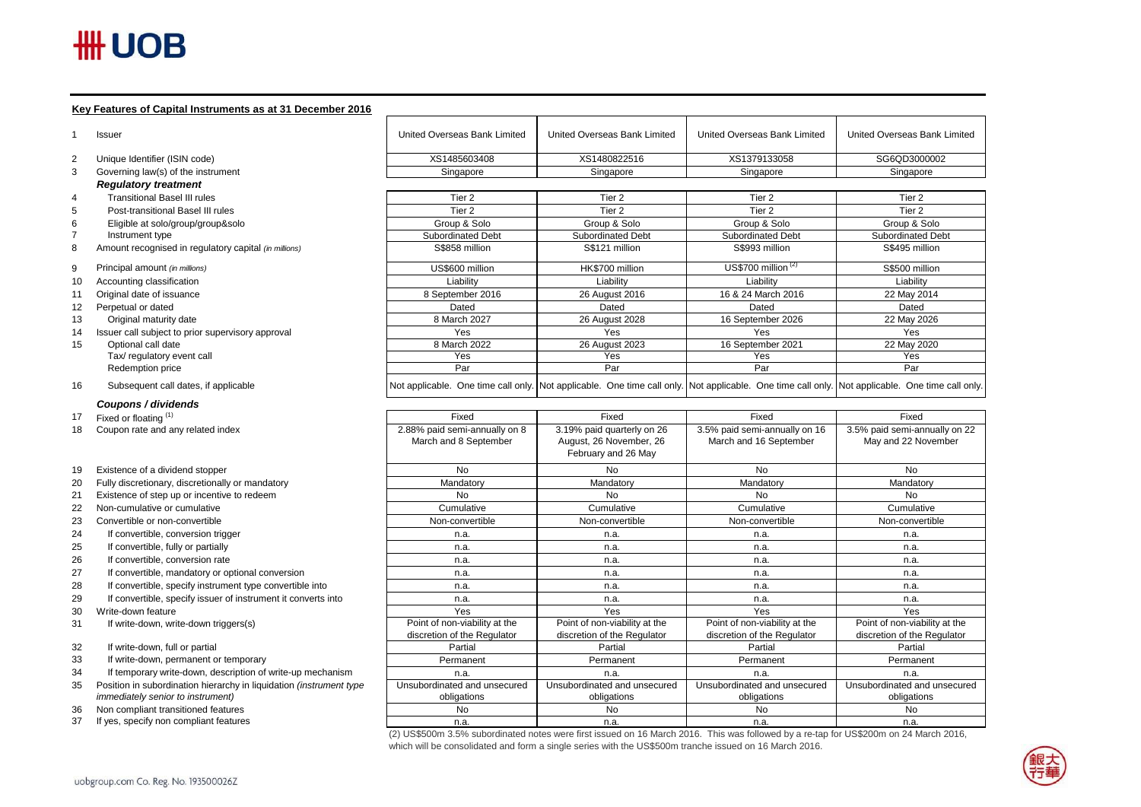# $H\text{H}$  UOB

 $12$ 

 $15$ 

30

### **Key Features of Capital Instruments as at 31 December 2016**

|          | <b>Issuer</b>                                                                 | United Overseas Bank Limited  | United Overseas Bank Limited                                                                                                                    | United Overseas Bank Limited  | United Overseas Bank Limited  |
|----------|-------------------------------------------------------------------------------|-------------------------------|-------------------------------------------------------------------------------------------------------------------------------------------------|-------------------------------|-------------------------------|
| 2        | Unique Identifier (ISIN code)                                                 | XS1485603408                  | XS1480822516                                                                                                                                    | XS1379133058                  | SG6QD3000002                  |
| 3        | Governing law(s) of the instrument                                            | Singapore                     | Singapore                                                                                                                                       | Singapore                     | Singapore                     |
|          | <b>Regulatory treatment</b>                                                   |                               |                                                                                                                                                 |                               |                               |
| 4        | <b>Transitional Basel III rules</b>                                           | Tier <sub>2</sub>             | Tier 2                                                                                                                                          | Tier 2                        | Tier 2                        |
| 5        | Post-transitional Basel III rules                                             | Tier <sub>2</sub>             | Tier <sub>2</sub>                                                                                                                               | Tier <sub>2</sub>             | Tier 2                        |
| 6        | Eligible at solo/group/group&solo                                             | Group & Solo                  | Group & Solo                                                                                                                                    | Group & Solo                  | Group & Solo                  |
|          | Instrument type                                                               | Subordinated Debt             | Subordinated Debt                                                                                                                               | Subordinated Debt             | Subordinated Debt             |
| 8        | Amount recognised in regulatory capital (in millions)                         | S\$858 million                | S\$121 million                                                                                                                                  | S\$993 million                | S\$495 million                |
| 9        | Principal amount (in millions)                                                | US\$600 million               | HK\$700 million                                                                                                                                 | US\$700 million $(2)$         | S\$500 million                |
| 10       | Accounting classification                                                     | Liability                     | Liability                                                                                                                                       | Liability                     | Liability                     |
| 11       | Original date of issuance                                                     | 8 September 2016              | 26 August 2016                                                                                                                                  | 16 & 24 March 2016            | 22 May 2014                   |
| 12       | Perpetual or dated                                                            | Dated                         | Dated                                                                                                                                           | Dated                         | Dated                         |
| 13       | Original maturity date                                                        | 8 March 2027                  | 26 August 2028                                                                                                                                  | 16 September 2026             | 22 May 2026                   |
| 14       | Issuer call subject to prior supervisory approval                             | Yes                           | Yes                                                                                                                                             | Yes                           | Yes                           |
| 15       | Optional call date                                                            | 8 March 2022                  | 26 August 2023                                                                                                                                  | 16 September 2021             | 22 May 2020                   |
|          | Tax/ regulatory event call                                                    | Yes                           | Yes                                                                                                                                             | Yes                           | Yes                           |
|          | Redemption price                                                              | Par                           | Par                                                                                                                                             | Par                           | Par                           |
| 16       | Subsequent call dates, if applicable                                          |                               | Not applicable. One time call only. Not applicable. One time call only. Not applicable. One time call only. Not applicable. One time call only. |                               |                               |
|          | Coupons / dividends                                                           |                               |                                                                                                                                                 |                               |                               |
| 17       | Fixed or floating (1)                                                         | Fixed                         | Fixed                                                                                                                                           | Fixed                         | Fixed                         |
| 18       | Coupon rate and any related index                                             | 2.88% paid semi-annually on 8 | 3.19% paid quarterly on 26                                                                                                                      | 3.5% paid semi-annually on 16 | 3.5% paid semi-annually on 22 |
|          |                                                                               | March and 8 September         | August, 26 November, 26                                                                                                                         | March and 16 September        | May and 22 November           |
|          |                                                                               |                               | February and 26 May                                                                                                                             |                               |                               |
| 19       | Existence of a dividend stopper                                               | No                            | No                                                                                                                                              | No                            | No                            |
| 20       | Fully discretionary, discretionally or mandatory                              | Mandatory                     | Mandatory                                                                                                                                       | Mandatory                     | Mandatory                     |
| 21       | Existence of step up or incentive to redeem                                   | <b>No</b>                     | <b>No</b>                                                                                                                                       | No                            | <b>No</b>                     |
| 22       | Non-cumulative or cumulative                                                  | Cumulative                    | Cumulative                                                                                                                                      | Cumulative                    | Cumulative                    |
| 23       | Convertible or non-convertible                                                | Non-convertible               | Non-convertible                                                                                                                                 | Non-convertible               | Non-convertible               |
| 24       | If convertible, conversion trigger                                            | n.a.                          | n.a.                                                                                                                                            | n.a.                          | n.a.                          |
| 25       | If convertible, fully or partially                                            | n.a.                          | n.a.                                                                                                                                            | n.a.                          | n.a.                          |
| 26       | If convertible, conversion rate                                               | n.a.                          | n.a.                                                                                                                                            | n.a.                          | n.a.                          |
| 27       | If convertible, mandatory or optional conversion                              | n.a.                          | n.a.                                                                                                                                            | n.a.                          | n.a.                          |
| 28       | If convertible, specify instrument type convertible into                      | n.a.                          | n.a.                                                                                                                                            | n.a.                          | n.a.                          |
| 29       | If convertible, specify issuer of instrument it converts into                 | n.a.                          | n.a.                                                                                                                                            | n.a.                          | n.a.                          |
| 30       | Write-down feature                                                            | Yes                           | Yes                                                                                                                                             | Yes                           | Yes                           |
| 31       | If write-down, write-down triggers(s)                                         | Point of non-viability at the | Point of non-viability at the                                                                                                                   | Point of non-viability at the | Point of non-viability at the |
|          |                                                                               | discretion of the Regulator   | discretion of the Regulator                                                                                                                     | discretion of the Regulator   | discretion of the Regulator   |
| 32       | If write-down, full or partial                                                | Partial                       | Partial                                                                                                                                         | Partial                       | Partial                       |
| 33       | If write-down, permanent or temporary                                         | Permanent                     | Permanent                                                                                                                                       | Permanent                     | Permanent                     |
| 34       | If temporary write-down, description of write-up mechanism                    | n.a.                          | n.a.                                                                                                                                            | n.a.                          | n.a.                          |
| 35       | Position in subordination hierarchy in liquidation (instrument type           | Unsubordinated and unsecured  | Unsubordinated and unsecured                                                                                                                    | Unsubordinated and unsecured  | Unsubordinated and unsecured  |
|          | immediately senior to instrument)                                             | obligations                   | obligations                                                                                                                                     | obligations                   | obligations                   |
|          |                                                                               |                               |                                                                                                                                                 |                               |                               |
| 36<br>37 | Non compliant transitioned features<br>If yes, specify non compliant features | <b>No</b>                     | No                                                                                                                                              | No                            | No                            |

(2) US\$500m 3.5% subordinated notes were first issued on 16 March 2016. This was followed by a re-tap for US\$200m on 24 March 2016, which will be consolidated and form a single series with the US\$500m tranche issued on 16 March 2016.